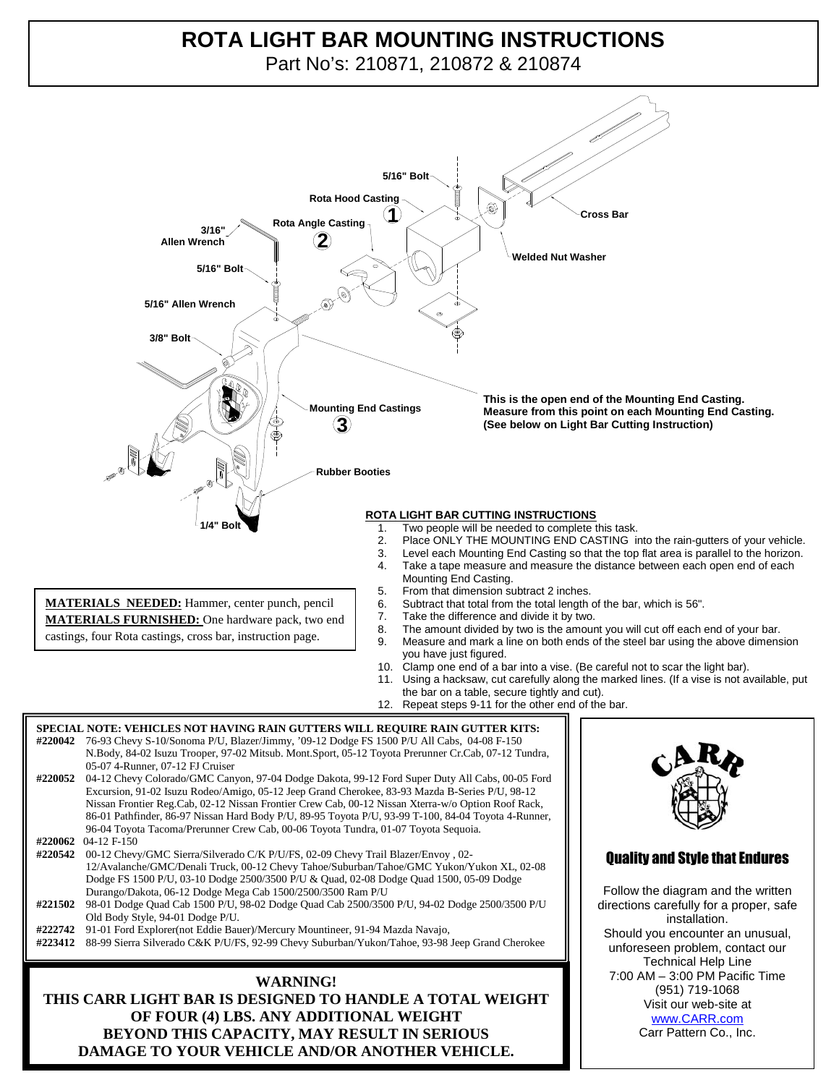## **1 Cross Bar ROTA LIGHT BAR MOUNTING INSTRUCTIONS**

**Welded Nut Washer** Part No's: 210871, 210872 & 210874